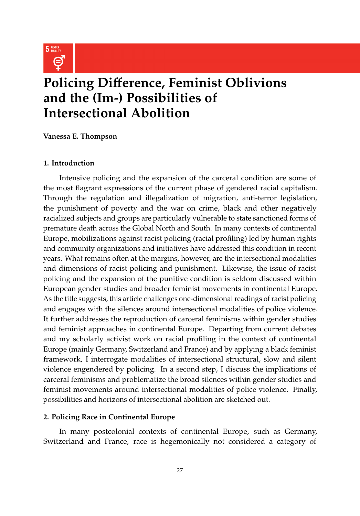

# **Policing Di**ff**erence, Feminist Oblivions and the (Im-) Possibilities of Intersectional Abolition**

## **Vanessa E. Thompson**

## **1. Introduction**

Intensive policing and the expansion of the carceral condition are some of the most flagrant expressions of the current phase of gendered racial capitalism. Through the regulation and illegalization of migration, anti-terror legislation, the punishment of poverty and the war on crime, black and other negatively racialized subjects and groups are particularly vulnerable to state sanctioned forms of premature death across the Global North and South. In many contexts of continental Europe, mobilizations against racist policing (racial profiling) led by human rights and community organizations and initiatives have addressed this condition in recent years. What remains often at the margins, however, are the intersectional modalities and dimensions of racist policing and punishment. Likewise, the issue of racist policing and the expansion of the punitive condition is seldom discussed within European gender studies and broader feminist movements in continental Europe. As the title suggests, this article challenges one-dimensional readings of racist policing and engages with the silences around intersectional modalities of police violence. It further addresses the reproduction of carceral feminisms within gender studies and feminist approaches in continental Europe. Departing from current debates and my scholarly activist work on racial profiling in the context of continental Europe (mainly Germany, Switzerland and France) and by applying a black feminist framework, I interrogate modalities of intersectional structural, slow and silent violence engendered by policing. In a second step, I discuss the implications of carceral feminisms and problematize the broad silences within gender studies and feminist movements around intersectional modalities of police violence. Finally, possibilities and horizons of intersectional abolition are sketched out.

### **2. Policing Race in Continental Europe**

In many postcolonial contexts of continental Europe, such as Germany, Switzerland and France, race is hegemonically not considered a category of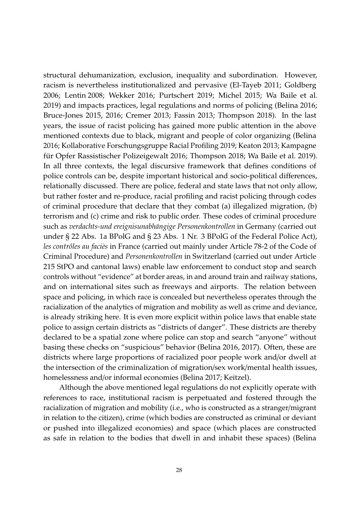structural dehumanization, exclusion, inequality and subordination. However, racism is nevertheless institutionalized and pervasive (El-Tayeb 2011; Goldberg 2006; Lentin 2008; Wekker 2016; Purtschert 2019; Michel 2015; Wa Baile et al. 2019) and impacts practices, legal regulations and norms of policing (Belina 2016; Bruce-Jones 2015, 2016; Cremer 2013; Fassin 2013; Thompson 2018). In the last years, the issue of racist policing has gained more public attention in the above mentioned contexts due to black, migrant and people of color organizing (Belina 2016; Kollaborative Forschungsgruppe Racial Profiling 2019; Keaton 2013; Kampagne für Opfer Rassistischer Polizeigewalt 2016; Thompson 2018; Wa Baile et al. 2019). In all three contexts, the legal discursive framework that defines conditions of police controls can be, despite important historical and socio-political differences, relationally discussed. There are police, federal and state laws that not only allow, but rather foster and re-produce, racial profiling and racist policing through codes of criminal procedure that declare that they combat (a) illegalized migration, (b) terrorism and (c) crime and risk to public order. These codes of criminal procedure such as *verdachts-und ereignisunabhängige Personenkontrollen* in Germany (carried out under § 22 Abs. 1a BPolG and § 23 Abs. 1 Nr. 3 BPolG of the Federal Police Act), *les contrôles au faciès* in France (carried out mainly under Article 78-2 of the Code of Criminal Procedure) and *Personenkontrollen* in Switzerland (carried out under Article 215 StPO and cantonal laws) enable law enforcement to conduct stop and search controls without "evidence" at border areas, in and around train and railway stations, and on international sites such as freeways and airports. The relation between space and policing, in which race is concealed but nevertheless operates through the racialization of the analytics of migration and mobility as well as crime and deviance, is already striking here. It is even more explicit within police laws that enable state police to assign certain districts as "districts of danger". These districts are thereby declared to be a spatial zone where police can stop and search "anyone" without basing these checks on "suspicious" behavior (Belina 2016, 2017). Often, these are districts where large proportions of racialized poor people work and/or dwell at the intersection of the criminalization of migration/sex work/mental health issues, homelessness and/or informal economies (Belina 2017; Keitzel).

Although the above mentioned legal regulations do not explicitly operate with references to race, institutional racism is perpetuated and fostered through the racialization of migration and mobility (i.e., who is constructed as a stranger/migrant in relation to the citizen), crime (which bodies are constructed as criminal or deviant or pushed into illegalized economies) and space (which places are constructed as safe in relation to the bodies that dwell in and inhabit these spaces) (Belina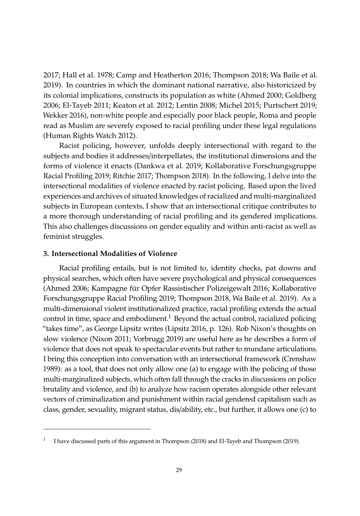2017; Hall et al. 1978; Camp and Heatherton 2016; Thompson 2018; Wa Baile et al. 2019). In countries in which the dominant national narrative, also historicized by its colonial implications, constructs its population as white (Ahmed 2000; Goldberg 2006; El-Tayeb 2011; Keaton et al. 2012; Lentin 2008; Michel 2015; Purtschert 2019; Wekker 2016), non-white people and especially poor black people, Roma and people read as Muslim are severely exposed to racial profiling under these legal regulations (Human Rights Watch 2012).

Racist policing, however, unfolds deeply intersectional with regard to the subjects and bodies it addresses/interpellates, the institutional dimensions and the forms of violence it enacts (Dankwa et al. 2019; Kollaborative Forschungsgruppe Racial Profiling 2019; Ritchie 2017; Thompson 2018). In the following, I delve into the intersectional modalities of violence enacted by racist policing. Based upon the lived experiences and archives of situated knowledges of racialized and multi-marginalized subjects in European contexts, I show that an intersectional critique contributes to a more thorough understanding of racial profiling and its gendered implications. This also challenges discussions on gender equality and within anti-racist as well as feminist struggles.

#### **3. Intersectional Modalities of Violence**

Racial profiling entails, but is not limited to, identity checks, pat downs and physical searches, which often have severe psychological and physical consequences (Ahmed 2006; Kampagne für Opfer Rassistischer Polizeigewalt 2016; Kollaborative Forschungsgruppe Racial Profiling 2019; Thompson 2018, Wa Baile et al. 2019). As a multi-dimensional violent institutionalized practice, racial profiling extends the actual control in time, space and embodiment.<sup>1</sup> Beyond the actual control, racialized policing "takes time", as George Lipsitz writes (Lipsitz 2016, p. 126). Rob Nixon's thoughts on slow violence (Nixon 2011; Vorbrugg 2019) are useful here as he describes a form of violence that does not speak to spectacular events but rather to mundane articulations. I bring this conception into conversation with an intersectional framework (Crenshaw 1989): as a tool, that does not only allow one (a) to engage with the policing of those multi-marginalized subjects, which often fall through the cracks in discussions on police brutality and violence, and (b) to analyze how racism operates alongside other relevant vectors of criminalization and punishment within racial gendered capitalism such as class, gender, sexuality, migrant status, dis/ability, etc., but further, it allows one (c) to

<sup>1</sup> I have discussed parts of this argument in Thompson (2018) and El-Tayeb and Thompson (2019).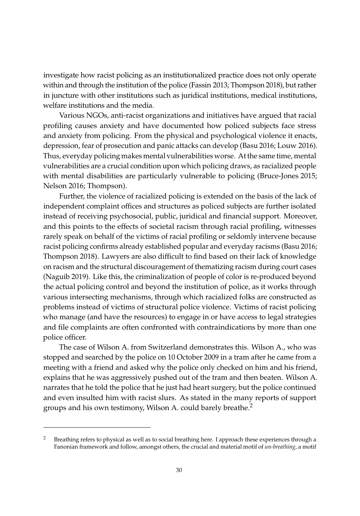investigate how racist policing as an institutionalized practice does not only operate within and through the institution of the police (Fassin 2013; Thompson 2018), but rather in juncture with other institutions such as juridical institutions, medical institutions, welfare institutions and the media.

Various NGOs, anti-racist organizations and initiatives have argued that racial profiling causes anxiety and have documented how policed subjects face stress and anxiety from policing. From the physical and psychological violence it enacts, depression, fear of prosecution and panic attacks can develop (Basu 2016; Louw 2016). Thus, everyday policing makes mental vulnerabilities worse. At the same time, mental vulnerabilities are a crucial condition upon which policing draws, as racialized people with mental disabilities are particularly vulnerable to policing (Bruce-Jones 2015; Nelson 2016; Thompson).

Further, the violence of racialized policing is extended on the basis of the lack of independent complaint offices and structures as policed subjects are further isolated instead of receiving psychosocial, public, juridical and financial support. Moreover, and this points to the effects of societal racism through racial profiling, witnesses rarely speak on behalf of the victims of racial profiling or seldomly intervene because racist policing confirms already established popular and everyday racisms (Basu 2016; Thompson 2018). Lawyers are also difficult to find based on their lack of knowledge on racism and the structural discouragement of thematizing racism during court cases (Naguib 2019). Like this, the criminalization of people of color is re-produced beyond the actual policing control and beyond the institution of police, as it works through various intersecting mechanisms, through which racialized folks are constructed as problems instead of victims of structural police violence. Victims of racist policing who manage (and have the resources) to engage in or have access to legal strategies and file complaints are often confronted with contraindications by more than one police officer.

The case of Wilson A. from Switzerland demonstrates this. Wilson A., who was stopped and searched by the police on 10 October 2009 in a tram after he came from a meeting with a friend and asked why the police only checked on him and his friend, explains that he was aggressively pushed out of the tram and then beaten. Wilson A. narrates that he told the police that he just had heart surgery, but the police continued and even insulted him with racist slurs. As stated in the many reports of support groups and his own testimony, Wilson A. could barely breathe.<sup>2</sup>

Breathing refers to physical as well as to social breathing here. I approach these experiences through a Fanonian framework and follow, amongst others, the crucial and material motif of *un-breathing*, a motif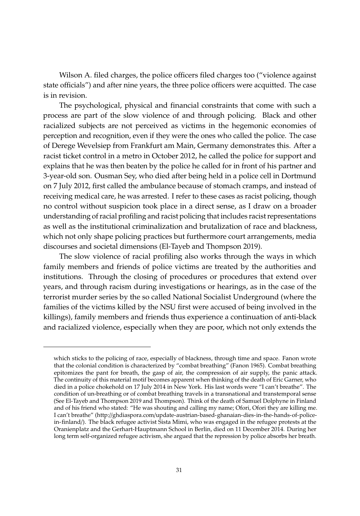Wilson A. filed charges, the police officers filed charges too ("violence against state officials") and after nine years, the three police officers were acquitted. The case is in revision.

The psychological, physical and financial constraints that come with such a process are part of the slow violence of and through policing. Black and other racialized subjects are not perceived as victims in the hegemonic economies of perception and recognition, even if they were the ones who called the police. The case of Derege Wevelsiep from Frankfurt am Main, Germany demonstrates this. After a racist ticket control in a metro in October 2012, he called the police for support and explains that he was then beaten by the police he called for in front of his partner and 3-year-old son. Ousman Sey, who died after being held in a police cell in Dortmund on 7 July 2012, first called the ambulance because of stomach cramps, and instead of receiving medical care, he was arrested. I refer to these cases as racist policing, though no control without suspicion took place in a direct sense, as I draw on a broader understanding of racial profiling and racist policing that includes racist representations as well as the institutional criminalization and brutalization of race and blackness, which not only shape policing practices but furthermore court arrangements, media discourses and societal dimensions (El-Tayeb and Thompson 2019).

The slow violence of racial profiling also works through the ways in which family members and friends of police victims are treated by the authorities and institutions. Through the closing of procedures or procedures that extend over years, and through racism during investigations or hearings, as in the case of the terrorist murder series by the so called National Socialist Underground (where the families of the victims killed by the NSU first were accused of being involved in the killings), family members and friends thus experience a continuation of anti-black and racialized violence, especially when they are poor, which not only extends the

which sticks to the policing of race, especially of blackness, through time and space. Fanon wrote that the colonial condition is characterized by "combat breathing" (Fanon 1965). Combat breathing epitomizes the pant for breath, the gasp of air, the compression of air supply, the panic attack. The continuity of this material motif becomes apparent when thinking of the death of Eric Garner, who died in a police chokehold on 17 July 2014 in New York. His last words were "I can't breathe". The condition of un-breathing or of combat breathing travels in a transnational and transtemporal sense (See El-Tayeb and Thompson 2019 and Thompson). Think of the death of Samuel Dolphyne in Finland and of his friend who stated: "[He was shouting and calling my name; Ofori, Ofori they are killing me.](http://ghdiaspora.com/update-austrian-based-ghanaian-dies-in-the-hands-of-police-in-finland/) [I can't breathe" \(http:](http://ghdiaspora.com/update-austrian-based-ghanaian-dies-in-the-hands-of-police-in-finland/)//ghdiaspora.com/update-austrian-based-ghanaian-dies-in-the-hands-of-policein-finland/). The black refugee activist Sista Mimi, who was engaged in the refugee protests at the Oranienplatz and the Gerhart-Hauptmann School in Berlin, died on 11 December 2014. During her long term self-organized refugee activism, she argued that the repression by police absorbs her breath.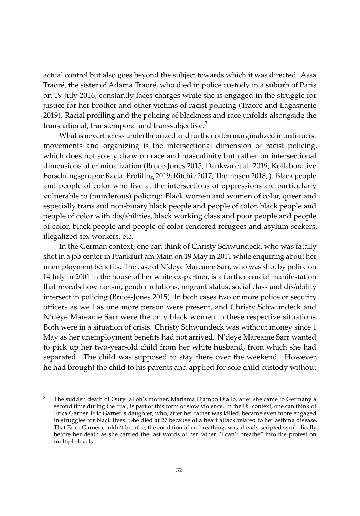actual control but also goes beyond the subject towards which it was directed. Assa Traoré, the sister of Adama Traoré, who died in police custody in a suburb of Paris on 19 July 2016, constantly faces charges while she is engaged in the struggle for justice for her brother and other victims of racist policing (Traoré and Lagasnerie 2019). Racial profiling and the policing of blackness and race unfolds alsongside the transnational, transtemporal and transsubjective. $3$ 

What is nevertheless undertheorized and further often marginalized in anti-racist movements and organizing is the intersectional dimension of racist policing, which does not solely draw on race and masculinity but rather on intersectional dimensions of criminalization (Bruce-Jones 2015; Dankwa et al. 2019; Kollaborative Forschungsgruppe Racial Profiling 2019; Ritchie 2017; Thompson 2018, ). Black people and people of color who live at the intersections of oppressions are particularly vulnerable to (murderous) policing: Black women and women of color, queer and especially trans and non-binary black people and people of color, black people and people of color with dis/abilities, black working class and poor people and people of color, black people and people of color rendered refugees and asylum seekers, illegalized sex workers, etc.

In the German context, one can think of Christy Schwundeck, who was fatally shot in a job center in Frankfurt am Main on 19 May in 2011 while enquiring about her unemployment benefits. The case of N'deye Mareame Sarr, who was shot by police on 14 July in 2001 in the house of her white ex-partner, is a further crucial manifestation that reveals how racism, gender relations, migrant status, social class and dis/ability intersect in policing (Bruce-Jones 2015). In both cases two or more police or security officers as well as one more person were present, and Christy Schwundeck and N'deye Mareame Sarr were the only black women in these respective situations. Both were in a situation of crisis. Christy Schwundeck was without money since 1 May as her unemployment benefits had not arrived. N'deye Mareame Sarr wanted to pick up her two-year-old child from her white husband, from which she had separated. The child was supposed to stay there over the weekend. However, [he had brought the child to his parents and applied for sole](https://jungle.world/artikel/2001/36/bei-ankunft-todesschuss) child custody without

<sup>3</sup> The sudden death of Oury Jalloh's mother, Mariama Djambo Diallo, after she came to Germany a second time during the trial, is part of this form of slow violence. In the US context, one can think of Erica Garner, Eric Garner's daughter, who, after her father was killed, became even more engaged in struggles for black lives. She died at 27 because of a heart attack related to her asthma disease. That Erica Garner couldn't breathe, the condition of un-breathing, was already scripted symbolically before her death as she carried the last words of her father "I can't breathe" into the protest on multiple levels.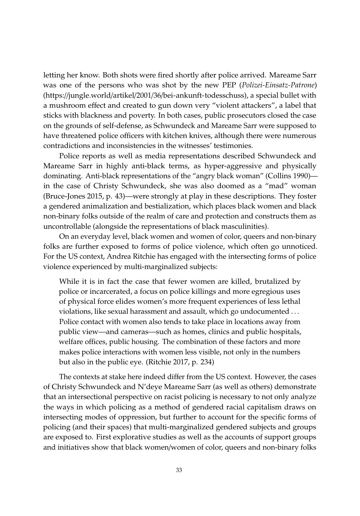letting her know. Both shots were fired shortly after police arrived. Mareame Sarr was one of the persons who was shot by the new PEP (*Polizei-Einsatz-Patrone*) (https://jungle.world/artikel/2001/36/bei-ankunft-todesschuss), a special bullet with a mushroom effect and created to gun down very "violent attackers", a label that sticks with blackness and poverty. In both cases, public prosecutors closed the case on the grounds of self-defense, as Schwundeck and Mareame Sarr were supposed to have threatened police officers with kitchen knives, although there were numerous contradictions and inconsistencies in the witnesses' testimonies.

Police reports as well as media representations described Schwundeck and Mareame Sarr in highly anti-black terms, as hyper-aggressive and physically dominating. Anti-black representations of the "angry black woman" (Collins 1990) in the case of Christy Schwundeck, she was also doomed as a "mad" woman (Bruce-Jones 2015, p. 43)—were strongly at play in these descriptions. They foster a gendered animalization and bestialization, which places black women and black non-binary folks outside of the realm of care and protection and constructs them as uncontrollable (alongside the representations of black masculinities).

On an everyday level, black women and women of color, queers and non-binary folks are further exposed to forms of police violence, which often go unnoticed. For the US context, Andrea Ritchie has engaged with the intersecting forms of police violence experienced by multi-marginalized subjects:

While it is in fact the case that fewer women are killed, brutalized by police or incarcerated, a focus on police killings and more egregious uses of physical force elides women's more frequent experiences of less lethal violations, like sexual harassment and assault, which go undocumented . . . Police contact with women also tends to take place in locations away from public view—and cameras—such as homes, clinics and public hospitals, welfare offices, public housing. The combination of these factors and more makes police interactions with women less visible, not only in the numbers but also in the public eye. (Ritchie 2017, p. 234)

The contexts at stake here indeed differ from the US context. However, the cases of Christy Schwundeck and N'deye Mareame Sarr (as well as others) demonstrate that an intersectional perspective on racist policing is necessary to not only analyze the ways in which policing as a method of gendered racial capitalism draws on intersecting modes of oppression, but further to account for the specific forms of policing (and their spaces) that multi-marginalized gendered subjects and groups are exposed to. First explorative studies as well as the accounts of support groups and initiatives show that black women/women of color, queers and non-binary folks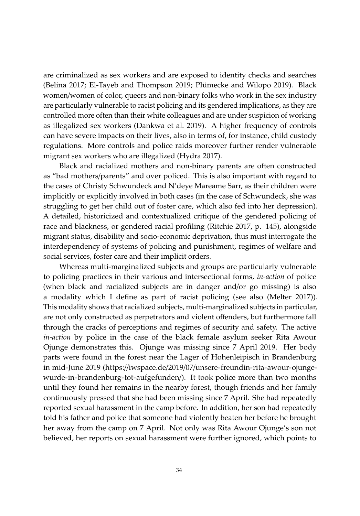are criminalized as sex workers and are exposed to identity checks and searches (Belina 2017; El-Tayeb and Thompson 2019; Plümecke and Wilopo 2019). Black women/women of color, queers and non-binary folks who work in the sex industry are particularly vulnerable to racist policing and its gendered implications, as they are controlled more often than their white colleagues and are under suspicion of working as illegalized sex workers (Dankwa et al. 2019). A higher frequency of controls can have severe impacts on their lives, also in terms of, for instance, child custody regulations. More controls and police raids moreover further render vulnerable migrant sex workers who are illegalized (Hydra 2017).

Black and racialized mothers and non-binary parents are often constructed as "bad mothers/parents" and over policed. This is also important with regard to the cases of Christy Schwundeck and N'deye Mareame Sarr, as their children were implicitly or explicitly involved in both cases (in the case of Schwundeck, she was struggling to get her child out of foster care, which also fed into her depression). A detailed, historicized and contextualized critique of the gendered policing of race and blackness, or gendered racial profiling (Ritchie 2017, p. 145), alongside migrant status, disability and socio-economic deprivation, thus must interrogate the interdependency of systems of policing and punishment, regimes of welfare and social services, foster care and their implicit orders.

Whereas multi-marginalized subjects and groups are particularly vulnerable to policing practices in their various and intersectional forms, *in-action* of police (when black and racialized subjects are in danger and/or go missing) is also a modality which I define as part of racist policing (see also (Melter 2017)). This modality shows that racialized subjects, multi-marginalized subjects in particular, are not only constructed as perpetrators and violent offenders, but furthermore fall through the crack[s of perceptions and regimes of security and safety. The active](https://iwspace.de/2019/07/unsere-freundin-rita-awour-ojunge-wurde-in-brandenburg-tot-aufgefunden/) *in-action* [by police in the case of the bl](https://iwspace.de/2019/07/unsere-freundin-rita-awour-ojunge-wurde-in-brandenburg-tot-aufgefunden/)ack female asylum seeker Rita Awour Ojunge demonstrates this. Ojunge was missing since 7 April 2019. Her body parts were found in the forest near the Lager of Hohenleipisch in Brandenburg in mid-June 2019 (https://iwspace.de/2019/07/unsere-freundin-rita-awour-ojungewurde-in-brandenburg-tot-aufgefunden/). It took police more than two months until they found her remains in the nearby forest, though friends and her family continuously pressed that she had been missing since 7 April. She had repeatedly reported sexual harassment in the camp before. In addition, her son had repeatedly told his father and police that someone had violently beaten her before he brought her away from the camp on 7 April. Not only was Rita Awour Ojunge's son not believed, her reports on sexual harassment were further ignored, which points to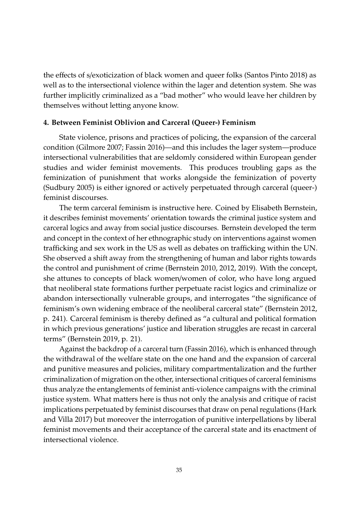the effects of s/exoticization of black women and queer folks (Santos Pinto 2018) as well as to the intersectional violence within the lager and detention system. She was further implicitly criminalized as a "bad mother" who would leave her children by themselves without letting anyone know.

### **4. Between Feminist Oblivion and Carceral (Queer-) Feminism**

State violence, prisons and practices of policing, the expansion of the carceral condition (Gilmore 2007; Fassin 2016)—and this includes the lager system—produce intersectional vulnerabilities that are seldomly considered within European gender studies and wider feminist movements. This produces troubling gaps as the feminization of punishment that works alongside the feminization of poverty (Sudbury 2005) is either ignored or actively perpetuated through carceral (queer-) feminist discourses.

The term carceral feminism is instructive here. Coined by Elisabeth Bernstein, it describes feminist movements' orientation towards the criminal justice system and carceral logics and away from social justice discourses. Bernstein developed the term and concept in the context of her ethnographic study on interventions against women trafficking and sex work in the US as well as debates on trafficking within the UN. She observed a shift away from the strengthening of human and labor rights towards the control and punishment of crime (Bernstein 2010, 2012, 2019). With the concept, she attunes to concepts of black women/women of color, who have long argued that neoliberal state formations further perpetuate racist logics and criminalize or abandon intersectionally vulnerable groups, and interrogates "the significance of feminism's own widening embrace of the neoliberal carceral state" (Bernstein 2012, p. 241). Carceral feminism is thereby defined as "a cultural and political formation in which previous generations' justice and liberation struggles are recast in carceral terms" (Bernstein 2019, p. 21).

Against the backdrop of a carceral turn (Fassin 2016), which is enhanced through the withdrawal of the welfare state on the one hand and the expansion of carceral and punitive measures and policies, military compartmentalization and the further criminalization of migration on the other, intersectional critiques of carceral feminisms thus analyze the entanglements of feminist anti-violence campaigns with the criminal justice system. What matters here is thus not only the analysis and critique of racist implications perpetuated by feminist discourses that draw on penal regulations (Hark and Villa 2017) but moreover the interrogation of punitive interpellations by liberal feminist movements and their acceptance of the carceral state and its enactment of intersectional violence.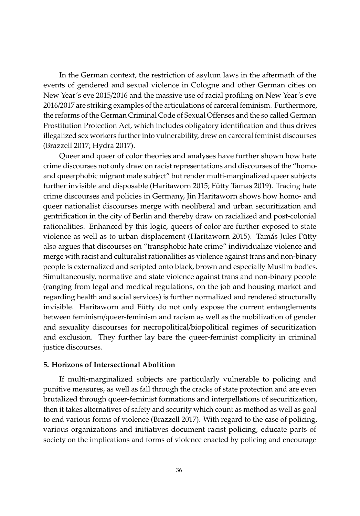In the German context, the restriction of asylum laws in the aftermath of the events of gendered and sexual violence in Cologne and other German cities on New Year's eve 2015/2016 and the massive use of racial profiling on New Year's eve 2016/2017 are striking examples of the articulations of carceral feminism. Furthermore, the reforms of the German Criminal Code of Sexual Offenses and the so called German Prostitution Protection Act, which includes obligatory identification and thus drives illegalized sex workers further into vulnerability, drew on carceral feminist discourses (Brazzell 2017; Hydra 2017).

Queer and queer of color theories and analyses have further shown how hate crime discourses not only draw on racist representations and discourses of the "homoand queerphobic migrant male subject" but render multi-marginalized queer subjects further invisible and disposable (Haritaworn 2015; Fütty Tamas 2019). Tracing hate crime discourses and policies in Germany, Jin Haritaworn shows how homo- and queer nationalist discourses merge with neoliberal and urban securitization and gentrification in the city of Berlin and thereby draw on racialized and post-colonial rationalities. Enhanced by this logic, queers of color are further exposed to state violence as well as to urban displacement (Haritaworn 2015). Tamás Jules Fütty also argues that discourses on "transphobic hate crime" individualize violence and merge with racist and culturalist rationalities as violence against trans and non-binary people is externalized and scripted onto black, brown and especially Muslim bodies. Simultaneously, normative and state violence against trans and non-binary people (ranging from legal and medical regulations, on the job and housing market and regarding health and social services) is further normalized and rendered structurally invisible. Haritaworn and Fütty do not only expose the current entanglements between feminism/queer-feminism and racism as well as the mobilization of gender and sexuality discourses for necropolitical/biopolitical regimes of securitization and exclusion. They further lay bare the queer-feminist complicity in criminal justice discourses.

#### **5. Horizons of Intersectional Abolition**

If multi-marginalized subjects are particularly vulnerable to policing and punitive measures, as well as fall through the cracks of state protection and are even brutalized through queer-feminist formations and interpellations of securitization, then it takes alternatives of safety and security which count as method as well as goal to end various forms of violence (Brazzell 2017). With regard to the case of policing, various organizations and initiatives document racist policing, educate parts of society on the implications and forms of violence enacted by policing and encourage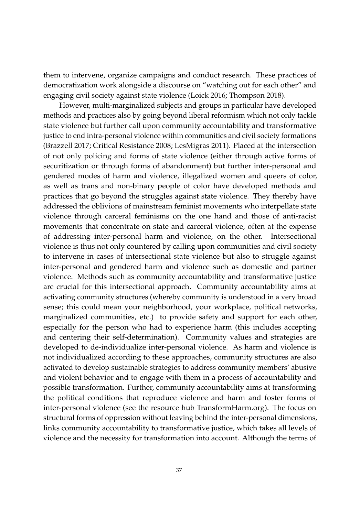them to intervene, organize campaigns and conduct research. These practices of democratization work alongside a discourse on "watching out for each other" and engaging civil society against state violence (Loick 2016; Thompson 2018).

However, multi-marginalized subjects and groups in particular have developed methods and practices also by going beyond liberal reformism which not only tackle state violence but further call upon community accountability and transformative justice to end intra-personal violence within communities and civil society formations (Brazzell 2017; Critical Resistance 2008; LesMigras 2011). Placed at the intersection of not only policing and forms of state violence (either through active forms of securitization or through forms of abandonment) but further inter-personal and gendered modes of harm and violence, illegalized women and queers of color, as well as trans and non-binary people of color have developed methods and practices that go beyond the struggles against state violence. They thereby have addressed the oblivions of mainstream feminist movements who interpellate state violence through carceral feminisms on the one hand and those of anti-racist movements that concentrate on state and carceral violence, often at the expense of addressing inter-personal harm and violence, on the other. Intersectional violence is thus not only countered by calling upon communities and civil society to intervene in cases of intersectional state violence but also to struggle against inter-personal and gendered harm and violence such as domestic and partner violence. Methods such as community accountability and transformative justice are crucial for this intersectional approach. Community accountability aims at activating community structures (whereby community is understood in a very broad sense; this could mean your neighborhood, your workplace, political networks, marginalized communities, etc.) to provide safety and support for each other, especially for the person who had to experience harm (this includes accepting and centering their self-determination). Community values and strategies are developed to de-individualize inter-personal violence. As harm and violence is not individualized according to these approaches, community structures are also activated to develop sustainable strategies to address community members' abusive and violent behavior and to engage with them in a process of accountability and possible transformation. Further, community accountability aims at transforming the political conditions that reproduce violence and harm and foster forms of inter-personal violence (see the resource hub TransformHarm.org). The focus on structural forms of oppression without leaving behind the inter-personal dimensions, links community accountability to transformative justice, which takes all levels of violence and the necessity for transformation into account. Although the terms of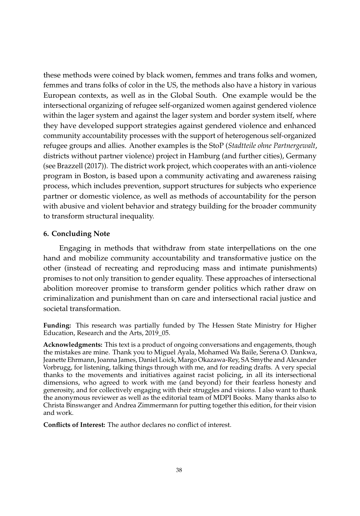these methods were coined by black women, femmes and trans folks and women, femmes and trans folks of color in the US, the methods also have a history in various European contexts, as well as in the Global South. One example would be the intersectional organizing of refugee self-organized women against gendered violence within the lager system and against the lager system and border system itself, where they have developed support strategies against gendered violence and enhanced community accountability processes with the support of heterogenous self-organized refugee groups and allies. Another examples is the StoP (*Stadtteile ohne Partnergewalt*, districts without partner violence) project in Hamburg (and further cities), Germany (see Brazzell (2017)). The district work project, which cooperates with an anti-violence program in Boston, is based upon a community activating and awareness raising process, which includes prevention, support structures for subjects who experience partner or domestic violence, as well as methods of accountability for the person with abusive and violent behavior and strategy building for the broader community to transform structural inequality.

#### **6. Concluding Note**

Engaging in methods that withdraw from state interpellations on the one hand and mobilize community accountability and transformative justice on the other (instead of recreating and reproducing mass and intimate punishments) promises to not only transition to gender equality. These approaches of intersectional abolition moreover promise to transform gender politics which rather draw on criminalization and punishment than on care and intersectional racial justice and societal transformation.

**Funding:** This research was partially funded by The Hessen State Ministry for Higher Education, Research and the Arts, 2019 05.

**Acknowledgments:** This text is a product of ongoing conversations and engagements, though the mistakes are mine. Thank you to Miguel Ayala, Mohamed Wa Baile, Serena O. Dankwa, Jeanette Ehrmann, Joanna James, Daniel Loick, Margo Okazawa-Rey, SA Smythe and Alexander Vorbrugg, for listening, talking things through with me, and for reading drafts. A very special thanks to the movements and initiatives against racist policing, in all its intersectional dimensions, who agreed to work with me (and beyond) for their fearless honesty and generosity, and for collectively engaging with their struggles and visions. I also want to thank the anonymous reviewer as well as the editorial team of MDPI Books. Many thanks also to Christa Binswanger and Andrea Zimmermann for putting together this edition, for their vision and work.

**Conflicts of Interest:** The author declares no conflict of interest.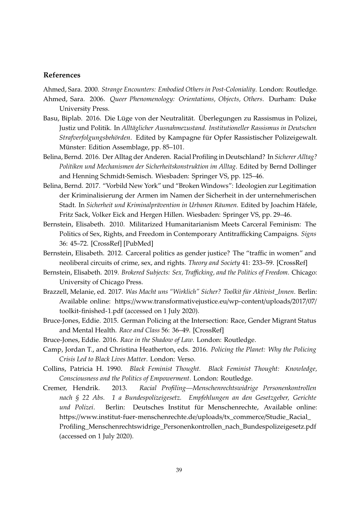#### **References**

Ahmed, Sara. 2000. *Strange Encounters: Embodied Others in Post-Coloniality*. London: Routledge.

- Ahmed, Sara. 2006. *Queer Phenomenology: Orientations, Objects, Others*. Durham: Duke University Press.
- Basu, Biplab. 2016. Die Lüge von der Neutralität. Überlegungen zu Rassismus in Polizei, Justiz und Politik. In *Alltäglicher Ausnahmezustand. Institutioneller Rassismus in Deutschen Strafverfolgungsbehörden*. Edited by Kampagne für Opfer Rassistischer Polizeigewalt. Münster: Edition Assemblage, pp. 85–101.
- Belina, Bernd. 20[16. Der Al](http://dx.doi.org/10.1086/652918)l[tag der An](http://www.ncbi.nlm.nih.gov/pubmed/20827852)deren. Racial Profiling in Deutschland? In *Sicherer Alltag? Politiken und Mechanismen der Sicherheitskonstruktion im Alltag*. Edited by Bernd Dollinger and Henning Schmidt-Semisch. Wiesbaden: Springer VS, pp. 125–46.
- Belina, Bernd. 2017. "Vorbild New York" und "Broken Windows": Ideologien zur [Legitimat](http://dx.doi.org/10.1007/s11186-012-9165-9)ion der Kriminalisierung der Armen im Namen der Sicherheit in der unternehmerischen Stadt. In *Sicherheit und Kriminalprävention in Urbanen Räumen*. Edited by Joachim Häfele, Fritz Sack, Volker Eick and Hergen Hillen. Wiesbaden: Springer VS, pp. 29–46.
- Bernstein, Elisabeth. 2[010. Militarized Humanitarianism Meets Carceral Feminism: The](https://www.transformativejustice.eu/wp-content/uploads/2017/07/toolkit-finished-1.pdf) [Politics of Sex, Rights,](https://www.transformativejustice.eu/wp-content/uploads/2017/07/toolkit-finished-1.pdf) and Freedom in Contemporary Antitrafficking Campaigns. *Signs* 36: 45–72. [CrossRef] [PubMed]
- Bernstein, Elisabeth. 2012. Carceral politics as ge[nder justic](http://dx.doi.org/10.1177/0306396814556223)e? The "traffic in women" and neoliberal circuits of crime, sex, and rights. *Theory and Society* 41: 233–59. [CrossRef]
- Bernstein, Elisabeth. 2019. *Brokered Subjects: Sex, Tra*ffi*cking, and the Politics of Freedom*. Chicago: University of Chicago Press.
- Brazzell, Melanie, ed. 2017. *Was Macht uns "Wirklich" Sicher? Toolkit für Aktivist\_Innen*. Berlin: Available online: https://www.transformativejustice.eu/wp-content/uploads/2017/07/ toolkit-finished-1.pdf (accessed on 1 July 2020).
- Bruce-Jones, Eddie. 2015. German Policing at the Intersection: Race, Gender Migrant Status and Mental Health. *Race and Class* 56: 36–49. [CrossRef]
- Bruce-Jones, Eddie. 2016. *[Race in the Shadow of Law](https://www.institut-fuer-menschenrechte.de/uploads/tx_commerce/Studie_Racial_Profiling_Menschenrechtswidrige_Personenkontrollen_nach_Bundespolizeigesetz.pdf)*. London: Routledge.
- Cam[p, Jordan T., and Christina Heatherton, eds. 2016.](https://www.institut-fuer-menschenrechte.de/uploads/tx_commerce/Studie_Racial_Profiling_Menschenrechtswidrige_Personenkontrollen_nach_Bundespolizeigesetz.pdf) *Policing the Planet: Why the Policing Crisis Led to Black Lives Matter*. London: Verso.
- Collins, Patricia H. 1990. *Black Feminist Thought. Black Feminist Thought: Knowledge, Consciousness and the Politics of Empowerment*. London: Routledge.
- Cremer, Hendrik. 2013. *Racial Profiling—Menschenrechtswidrige Personenkontrollen nach § 22 Abs. 1 a Bundespolizeigesetz. Empfehlungen an den Gesetzgeber, Gerichte und Polizei*. Berlin: Deutsches Institut für Menschenrechte, Available online: https://www.institut-fuer-menschenrechte.de/uploads/tx\_commerce/Studie\_Racial\_ Profiling\_Menschenrechtswidrige\_Personenkontrollen\_nach\_Bundespolizeigesetz.pdf (accessed on 1 July 2020).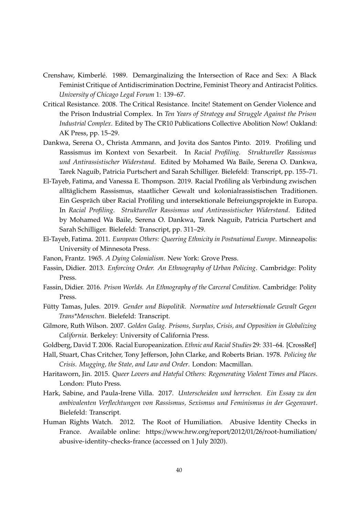- Crenshaw, Kimberlé. 1989. Demarginalizing the Intersection of Race and Sex: A Black Feminist Critique of Antidiscrimination Doctrine, Feminist Theory and Antiracist Politics. *University of Chicago Legal Forum* 1: 139–67.
- Critical Resistance. 2008. The Critical Resistance. Incite! Statement on Gender Violence and the Prison Industrial Complex. In *Ten Years of Strategy and Struggle Against the Prison Industrial Complex*. Edited by The CR10 Publications Collective Abolition Now! Oakland: AK Press, pp. 15–29.
- Dankwa, Serena O., Christa Ammann, and Jovita dos Santos Pinto. 2019. Profiling und Rassismus im Kontext von Sexarbeit. In *Racial Profiling. Struktureller Rassismus und Antirassistischer Widerstand*. Edited by Mohamed Wa Baile, Serena O. Dankwa, Tarek Naguib, Patricia Purtschert and Sarah Schilliger. Bielefeld: Transcript, pp. 155–71.
- El-Tayeb, Fatima, and Vanessa E. Thompson. 2019. Racial Profiling als Verbindung zwischen alltäglichem Rassismus, staatlicher Gewalt und kolonialrassistischen Traditionen. Ein Gespräch über Racial Profiling und intersektionale Befreiungsprojekte in Europa. In *Racial Profiling. Struktureller Rassismus und Antirassistischer Widerstand*. Edited by Mohamed Wa Baile, Serena O. Dankwa, Tarek Naguib, Patricia Purtschert and Sarah Schilliger. Bielefeld: Transcript, pp. 311–29.
- El-Tayeb, Fatima. 2011. *European Others: Queering Ethnicity in Postnational Europe*. Minneapolis: University of Minnesota Press.
- Fanon, Frantz. 1965. *A Dying Colonialism*. New York: Grove Press.
- Fassin, Didier. 2013. *Enforcing Order. An Ethnography of Urban Policing*. Cambridge: Polity Press.
- Fassin, Didier. 2016. *Prison Worlds. An Ethnography of the Carceral Condition*. Cambridge: Polity Press.
- Fütty Tamas, Jules. 2019. *Gender und Biopolitik. Normative und Intersektionale Ge[walt Gegen](http://dx.doi.org/10.1080/01419870500465611) Trans\*Menschen*. Bielefeld: Transcript.
- Gilmore, Ruth Wilson. 2007. *Golden Gulag. Prisons, Surplus, Crisis, and Opposition in Globalizing California*. Berkeley: University of California Press.
- Goldberg, David T. 2006. Racial Europeanization. *Ethnic and Racial Studies* 29: 331–64. [CrossRef]
- Hall, Stuart, Chas Critcher, Tony Jefferson, John Clarke, and Roberts Brian. 1978. *Policing the Crisis. Mugging, the State, and Law and Order*. London: Macmillan.
- Haritaworn, Jin. 2015. *Queer Lovers and Hateful Others: Regenerating Violent Times and Places*. London: Pluto Press.
- Hark, Sabine, and Paula-Irene Villa. 2017. *[Unterscheiden und herrschen. Ein Essay zu den](https://www.hrw.org/report/2012/01/26/root-humiliation/abusive-identity-checks-france) [ambivalenten Verflechtungen von](https://www.hrw.org/report/2012/01/26/root-humiliation/abusive-identity-checks-france) Rassismus, Sexismus und Feminismus in der Gegenwart*. Bielefeld: Transcript.
- Human Rights Watch. 2012. The Root of Humiliation. Abusive Identity Checks in France. Available online: https://www.hrw.org/report/2012/01/26/root-humiliation/ abusive-identity-checks-france (accessed on 1 July 2020).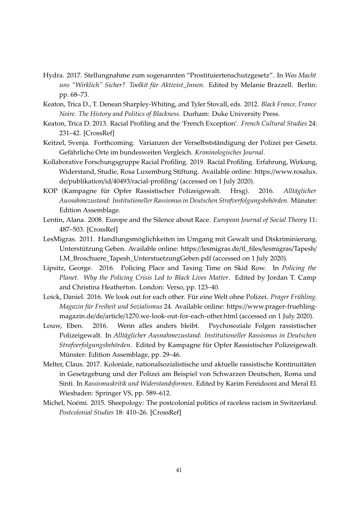- Hydra. 2017. Stellungnahme zum sogenannten "Prostituiertenschutzgesetz". In *Was Macht uns "Wirklich" Sicher? Toolkit für Aktivist\_Innen*. Edited by Melanie Brazzell. Berlin: pp. 68–73.
- Keaton, Trica [D., T. Dene](http://dx.doi.org/10.1177/0957155813477803)an Sharpley-Whiting, and Tyler Stovall, eds. 2012. *Black France, France Noire. The History and Politics of Blackness*. Durham: Duke University Press.
- Keaton, Trica D. 2013. Racial Profiling and the 'French Exception'. *French Cultural Studies* 24: 231–42. [CrossRef]
- Keitzel, Svenja. Forthcoming. Varianzen der Verselbstständigung d[er Polizei per Gesetz.](https://www.rosalux.de/publikation/id/40493/racial-profiling/) [Gefährliche Orte im bundesweiten Vergle](https://www.rosalux.de/publikation/id/40493/racial-profiling/)ich. *Kriminologisches Journal*.
- Kollaborative Forschungsgruppe Racial Profiling. 2019. Racial Profiling. Erfahrung, Wirkung, Widerstand, Studie, Rosa Luxemburg Stiftung. Available online: https://www.rosalux. de/publikation/id/40493/racial-profiling/ (accessed on 1 July 2020).
- KOP (Kampagne für Opfer Rassistischer Polizeigewalt. Hrsg). 2016. *Alltäglicher Ausnahme[zustand: In](http://dx.doi.org/10.1177/1368431008097008)stitutioneller Rassismus in Deutschen Strafverfolgungsbehörden*. Münster: Edition Assemblage.
- Lentin, Alana. 2008. Europe and the Silence about Race. *[European Journal of Social Theory](https://lesmigras.de/tl_files/lesmigras/Tapesh/LM_Broschuere_Tapesh_UnterstuetzungGeben.pdf)* 11: [487–503. \[CrossRef\]](https://lesmigras.de/tl_files/lesmigras/Tapesh/LM_Broschuere_Tapesh_UnterstuetzungGeben.pdf)
- LesMigras. 2011. Handlungsmöglichkeiten im Umgang mit Gewalt und Diskriminierung. Unterstützung Geben. Available online: https://lesmigras.de/tl\_files/lesmigras/Tapesh/ LM\_Broschuere\_Tapesh\_UnterstuetzungGeben.pdf (accessed on 1 July 2020).
- Lipsitz, George. 2016. Policing Place and Taxing Time on Skid Row. In *Policing the Planet. Why the Policing Crisis Led to Black Lives Matter*[. Edited by Jordan T. Camp](https://www.prager-fruehling-magazin.de/de/article/1270.we-look-out-for-each-other.html) [and Christina Heatherton. London: Verso, pp. 123–40.](https://www.prager-fruehling-magazin.de/de/article/1270.we-look-out-for-each-other.html)
- Loick, Daniel. 2016. We look out for each other. Für eine Welt ohne Polizei. *Prager Frühling. Magazin für Freiheit und Sozialismus* 24. Available online: https://www.prager-fruehlingmagazin.de/de/article/1270.we-look-out-for-each-other.html (accessed on 1 July 2020).
- Louw, Eben. 2016. Wenn alles anders bleibt. Psychosoziale Folgen rassistischer Polizeigewalt. In *Alltäglicher Ausnahmezustand: Institutioneller Rassismus in Deutschen Strafverfolgungsbehörden*. Edited by Kampagne für Opfer Rassistischer Polizeigewalt. Münster: Edition Assemblage, pp. 29–46.
- Melter, Claus. 2017. Koloniale, nationalsozialistische und aktuelle rassistische Kontinuitäten in Gesetzgebung und der Polizei am Beispiel von Schwarzen Deutschen, Roma und Sinti. In *Rassismuskritik und Wid[erstandsfor](http://dx.doi.org/10.1080/13688790.2015.1191987)men*. Edited by Karim Fereidooni and Meral El. Wiesbaden: Springer VS, pp. 589–612.
- Michel, Noémi. 2015. Sheepology: The postcolonial politics of raceless racism in Switzerland. *Postcolonial Studies* 18: 410–26. [CrossRef]